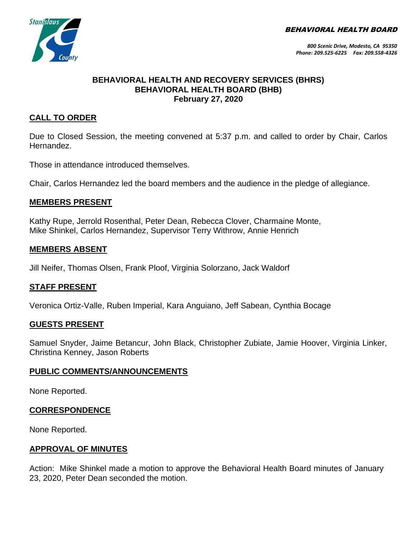BEHAVIORAL HEALTH BOARD



*800 Scenic Drive, Modesto, CA 95350 Phone: 209.525-6225 Fax: 209.558-4326*

## **BEHAVIORAL HEALTH AND RECOVERY SERVICES (BHRS) BEHAVIORAL HEALTH BOARD (BHB) February 27, 2020**

# **CALL TO ORDER**

Due to Closed Session, the meeting convened at 5:37 p.m. and called to order by Chair, Carlos Hernandez.

Those in attendance introduced themselves.

Chair, Carlos Hernandez led the board members and the audience in the pledge of allegiance.

#### **MEMBERS PRESENT**

Kathy Rupe, Jerrold Rosenthal, Peter Dean, Rebecca Clover, Charmaine Monte, Mike Shinkel, Carlos Hernandez, Supervisor Terry Withrow, Annie Henrich

#### **MEMBERS ABSENT**

Jill Neifer, Thomas Olsen, Frank Ploof, Virginia Solorzano, Jack Waldorf

## **STAFF PRESENT**

Veronica Ortiz-Valle, Ruben Imperial, Kara Anguiano, Jeff Sabean, Cynthia Bocage

#### **GUESTS PRESENT**

Samuel Snyder, Jaime Betancur, John Black, Christopher Zubiate, Jamie Hoover, Virginia Linker, Christina Kenney, Jason Roberts

#### **PUBLIC COMMENTS/ANNOUNCEMENTS**

None Reported.

## **CORRESPONDENCE**

None Reported.

## **APPROVAL OF MINUTES**

Action: Mike Shinkel made a motion to approve the Behavioral Health Board minutes of January 23, 2020, Peter Dean seconded the motion.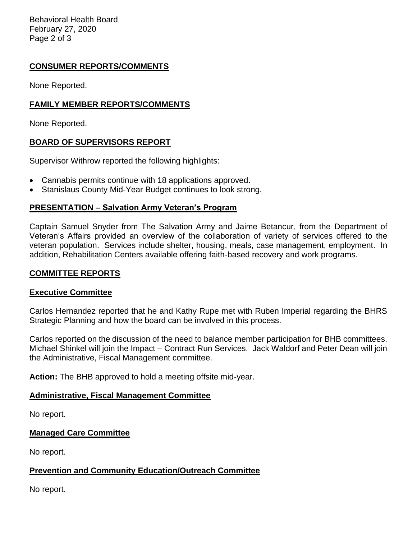Behavioral Health Board February 27, 2020 Page 2 of 3

# **CONSUMER REPORTS/COMMENTS**

None Reported.

## **FAMILY MEMBER REPORTS/COMMENTS**

None Reported.

## **BOARD OF SUPERVISORS REPORT**

Supervisor Withrow reported the following highlights:

- Cannabis permits continue with 18 applications approved.
- Stanislaus County Mid-Year Budget continues to look strong.

## **PRESENTATION – Salvation Army Veteran's Program**

Captain Samuel Snyder from The Salvation Army and Jaime Betancur, from the Department of Veteran's Affairs provided an overview of the collaboration of variety of services offered to the veteran population. Services include shelter, housing, meals, case management, employment. In addition, Rehabilitation Centers available offering faith-based recovery and work programs.

## **COMMITTEE REPORTS**

#### **Executive Committee**

Carlos Hernandez reported that he and Kathy Rupe met with Ruben Imperial regarding the BHRS Strategic Planning and how the board can be involved in this process.

Carlos reported on the discussion of the need to balance member participation for BHB committees. Michael Shinkel will join the Impact – Contract Run Services. Jack Waldorf and Peter Dean will join the Administrative, Fiscal Management committee.

**Action:** The BHB approved to hold a meeting offsite mid-year.

#### **Administrative, Fiscal Management Committee**

No report.

## **Managed Care Committee**

No report.

## **Prevention and Community Education/Outreach Committee**

No report.